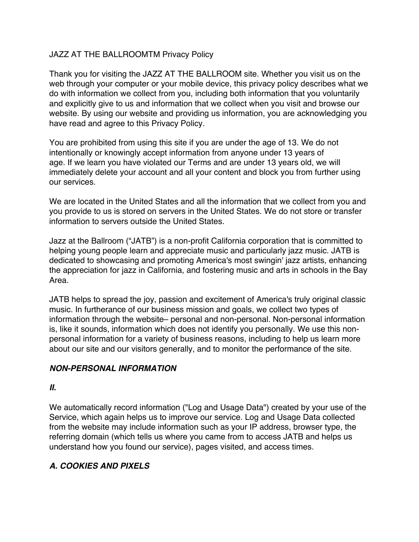#### JAZZ AT THE BALLROOMTM Privacy Policy

Thank you for visiting the JAZZ AT THE BALLROOM site. Whether you visit us on the web through your computer or your mobile device, this privacy policy describes what we do with information we collect from you, including both information that you voluntarily and explicitly give to us and information that we collect when you visit and browse our website. By using our website and providing us information, you are acknowledging you have read and agree to this Privacy Policy.

You are prohibited from using this site if you are under the age of 13. We do not intentionally or knowingly accept information from anyone under 13 years of age. If we learn you have violated our Terms and are under 13 years old, we will immediately delete your account and all your content and block you from further using our services.

We are located in the United States and all the information that we collect from you and you provide to us is stored on servers in the United States. We do not store or transfer information to servers outside the United States.

Jazz at the Ballroom ("JATB") is a non-profit California corporation that is committed to helping young people learn and appreciate music and particularly jazz music. JATB is dedicated to showcasing and promoting America's most swingin' jazz artists, enhancing the appreciation for jazz in California, and fostering music and arts in schools in the Bay Area.

JATB helps to spread the joy, passion and excitement of America's truly original classic music. In furtherance of our business mission and goals, we collect two types of information through the website– personal and non-personal. Non-personal information is, like it sounds, information which does not identify you personally. We use this nonpersonal information for a variety of business reasons, including to help us learn more about our site and our visitors generally, and to monitor the performance of the site.

#### *NON-PERSONAL INFORMATION*

#### *II.*

We automatically record information ("Log and Usage Data") created by your use of the Service, which again helps us to improve our service. Log and Usage Data collected from the website may include information such as your IP address, browser type, the referring domain (which tells us where you came from to access JATB and helps us understand how you found our service), pages visited, and access times.

## *A. COOKIES AND PIXELS*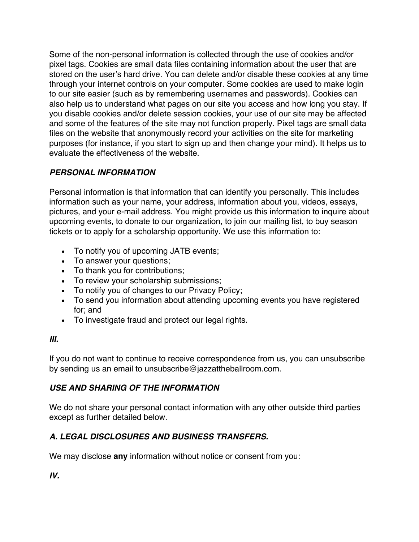Some of the non-personal information is collected through the use of cookies and/or pixel tags. Cookies are small data files containing information about the user that are stored on the user's hard drive. You can delete and/or disable these cookies at any time through your internet controls on your computer. Some cookies are used to make login to our site easier (such as by remembering usernames and passwords). Cookies can also help us to understand what pages on our site you access and how long you stay. If you disable cookies and/or delete session cookies, your use of our site may be affected and some of the features of the site may not function properly. Pixel tags are small data files on the website that anonymously record your activities on the site for marketing purposes (for instance, if you start to sign up and then change your mind). It helps us to evaluate the effectiveness of the website.

## *PERSONAL INFORMATION*

Personal information is that information that can identify you personally. This includes information such as your name, your address, information about you, videos, essays, pictures, and your e-mail address. You might provide us this information to inquire about upcoming events, to donate to our organization, to join our mailing list, to buy season tickets or to apply for a scholarship opportunity. We use this information to:

- To notify you of upcoming JATB events;
- To answer your questions;
- To thank you for contributions;
- To review your scholarship submissions;
- To notify you of changes to our Privacy Policy;
- To send you information about attending upcoming events you have registered for; and
- To investigate fraud and protect our legal rights.

## *III.*

If you do not want to continue to receive correspondence from us, you can unsubscribe by sending us an email to unsubscribe@jazzattheballroom.com.

## *USE AND SHARING OF THE INFORMATION*

We do not share your personal contact information with any other outside third parties except as further detailed below.

# *A. LEGAL DISCLOSURES AND BUSINESS TRANSFERS.*

We may disclose **any** information without notice or consent from you:

*IV.*